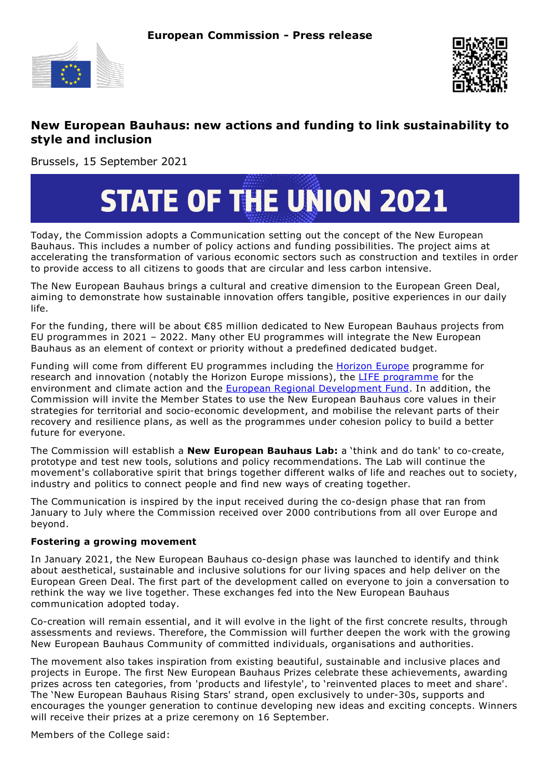



## **New European Bauhaus: new actions and funding to link sustainability to style and inclusion**

Brussels, 15 September 2021

## **STATE OF THE UNION 2021**

Today, the Commission adopts a Communication setting out the concept of the New European Bauhaus. This includes a number of policy actions and funding possibilities. The project aims at accelerating the transformation of various economic sectors such as construction and textiles in order to provide access to all citizens to goods that are circular and less carbon intensive.

The New European Bauhaus brings a cultural and creative dimension to the European Green Deal, aiming to demonstrate how sustainable innovation offers tangible, positive experiences in our daily life.

For the funding, there will be about €85 million dedicated to New European Bauhaus projects from EU programmes in 2021 – 2022. Many other EU programmes will integrate the New European Bauhaus as an element of context or priority without a predefined dedicated budget.

Funding will come from different EU programmes including the **[Horizon](https://ec.europa.eu/info/research-and-innovation/funding/funding-opportunities/funding-programmes-and-open-calls/horizon-europe_en) Europe** programme for research and innovation (notably the Horizon Europe missions), the LIFE [programme](https://ec.europa.eu/growth/sectors/tourism/funding-guide/life-programme_en) for the environment and climate action and the **European Regional [Development](https://ec.europa.eu/regional_policy/en/funding/erdf/) Fund**. In addition, the Commission will invite the Member States to use the New European Bauhaus core values in their strategies for territorial and socio-economic development, and mobilise the relevant parts of their recovery and resilience plans, as well as the programmes under cohesion policy to build a better future for everyone.

The Commission will establish a **New European Bauhaus Lab:** a 'think and do tank' to co-create, prototype and test new tools, solutions and policy recommendations. The Lab will continue the movement's collaborative spirit that brings together different walks of life and reaches out to society, industry and politics to connect people and find new ways of creating together.

The Communication is inspired by the input received during the co-design phase that ran from January to July where the Commission received over 2000 contributions from all over Europe and beyond.

## **Fostering a growing movement**

In January 2021, the New European Bauhaus co-design phase was launched to identify and think about aesthetical, sustainable and inclusive solutions for our living spaces and help deliver on the European Green Deal. The first part of the development called on everyone to join a conversation to rethink the way we live together. These exchanges fed into the New European Bauhaus communication adopted today.

Co-creation will remain essential, and it will evolve in the light of the first concrete results, through assessments and reviews. Therefore, the Commission will further deepen the work with the growing New European Bauhaus Community of committed individuals, organisations and authorities.

The movement also takes inspiration from existing beautiful, sustainable and inclusive places and projects in Europe. The first New European Bauhaus Prizes celebrate these achievements, awarding prizes across ten categories, from 'products and lifestyle', to 'reinvented places to meet and share'. The 'New European Bauhaus Rising Stars' strand, open exclusively to under-30s, supports and encourages the younger generation to continue developing new ideas and exciting concepts. Winners will receive their prizes at a prize ceremony on 16 September.

Members of the College said: